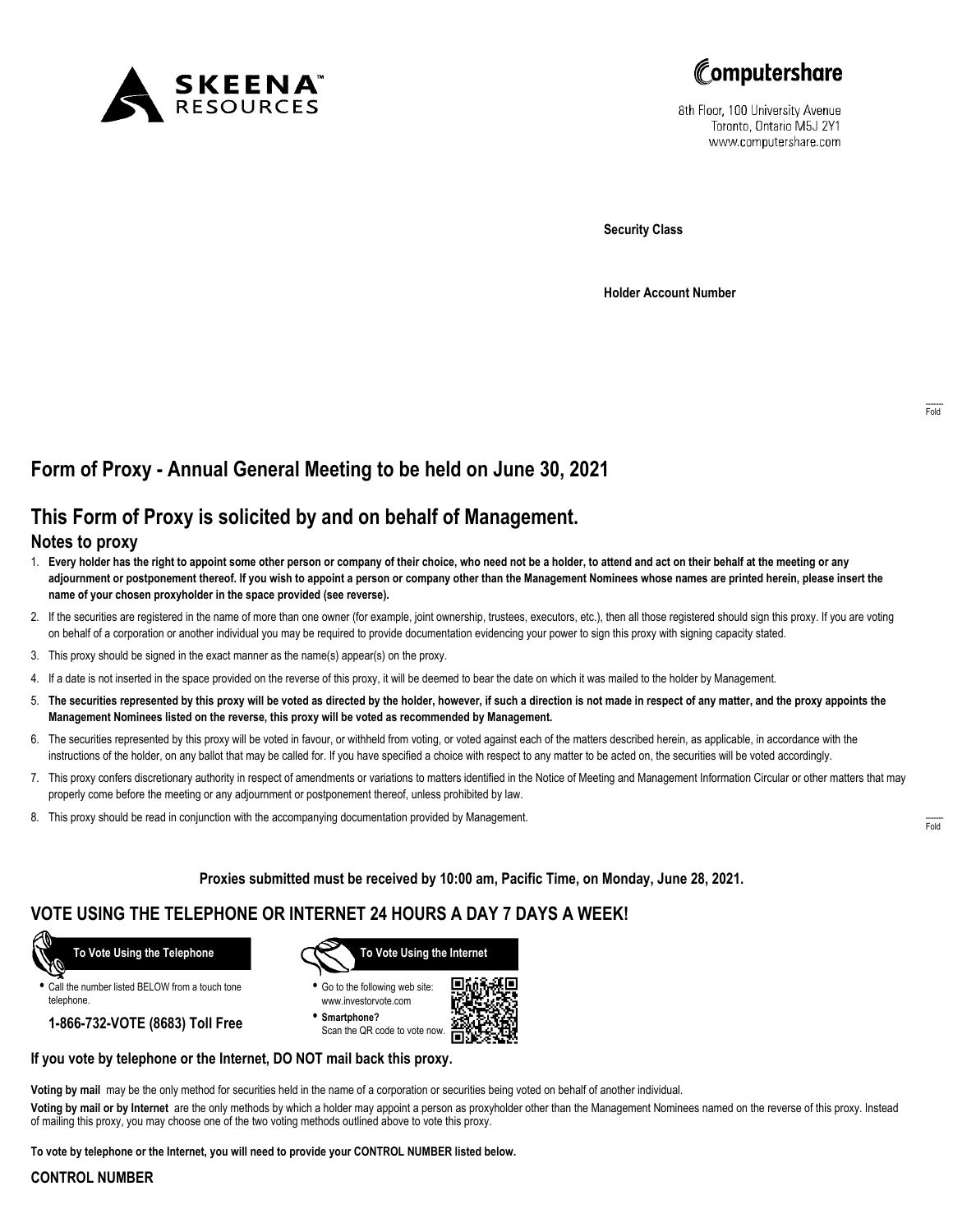



8th Floor, 100 University Avenue Toronto, Ontario M5J 2Y1 www.computershare.com

Security Class

Holder Account Number

# Form of Proxy - Annual General Meeting to be held on June 30, 2021

## This Form of Proxy is solicited by and on behalf of Management.

#### Notes to proxy

- 1. Every holder has the right to appoint some other person or company of their choice, who need not be a holder, to attend and act on their behalf at the meeting or any adjournment or postponement thereof. If you wish to appoint a person or company other than the Management Nominees whose names are printed herein, please insert the name of your chosen proxyholder in the space provided (see reverse).
- 2. If the securities are registered in the name of more than one owner (for example, joint ownership, trustees, executors, etc.), then all those registered should sign this proxy. If you are voting on behalf of a corporation or another individual you may be required to provide documentation evidencing your power to sign this proxy with signing capacity stated.
- 3. This proxy should be signed in the exact manner as the name(s) appear(s) on the proxy.
- 4. If a date is not inserted in the space provided on the reverse of this proxy, it will be deemed to bear the date on which it was mailed to the holder by Management.
- 5. The securities represented by this proxy will be voted as directed by the holder, however, if such a direction is not made in respect of any matter, and the proxy appoints the Management Nominees listed on the reverse, this proxy will be voted as recommended by Management.
- 6. The securities represented by this proxy will be voted in favour, or withheld from voting, or voted against each of the matters described herein, as applicable, in accordance with the instructions of the holder, on any ballot that may be called for. If you have specified a choice with respect to any matter to be acted on, the securities will be voted accordingly.
- 7. This proxy confers discretionary authority in respect of amendments or variations to matters identified in the Notice of Meeting and Management Information Circular or other matters that may properly come before the meeting or any adjournment or postponement thereof, unless prohibited by law.
- 8. This proxy should be read in conjunction with the accompanying documentation provided by Management.

Proxies submitted must be received by 10:00 am, Pacific Time, on Monday, June 28, 2021.

### VOTE USING THE TELEPHONE OR INTERNET 24 HOURS A DAY 7 DAYS A WEEK!

To Vote Using the Telephone

• Call the number listed BELOW from a touch tone telephone.

1-866-732-VOTE (8683) Toll Free



• Go to the following web site: www.investorvote.com

• Smartphone? Scan the QR code to vote now.



#### If you vote by telephone or the Internet, DO NOT mail back this proxy.

Voting by mail may be the only method for securities held in the name of a corporation or securities being voted on behalf of another individual.

Voting by mail or by Internet are the only methods by which a holder may appoint a person as proxyholder other than the Management Nominees named on the reverse of this proxy. Instead of mailing this proxy, you may choose one of the two voting methods outlined above to vote this proxy.

To vote by telephone or the Internet, you will need to provide your CONTROL NUMBER listed below.

#### CONTROL NUMBER